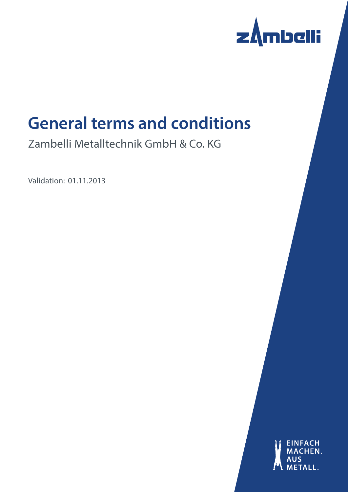

# **General terms and conditions**

Zambelli Metalltechnik GmbH & Co. KG

Validation: 01.11.2013

**EINFACH** HEN. M<sub>1</sub>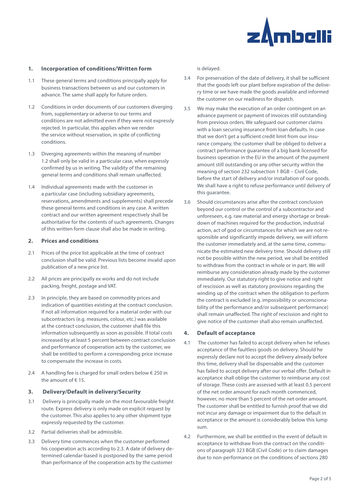

## **1. Incorporation of conditions/Written form**

- 1.1 These general terms and conditions principally apply for business transactions between us and our customers in advance. The same shall apply for future orders.
- 1.2 Conditions in order documents of our customers diverging from, supplementary or adverse to our terms and conditions are not admitted even if they were not expressly rejected. In particular, this applies when we render the service without reservation, in spite of conflicting conditions.
- 1.3 Diverging agreements within the meaning of number 1.2 shall only be valid in a particular case, when expressly confirmed by us in writing. The validity of the remaining general terms and conditions shall remain unaffected.
- 1.4 Individual agreements made with the customer in a particular case (including subsidiary agreements, reservations, amendments and supplements) shall precede these general terms and conditions in any case. A written contract and our written agreement respectively shall be authoritative for the contents of such agreements. Changes of this written form clause shall also be made in writing.

## **2. Prices and conditions**

- 2.1 Prices of the price list applicable at the time of contract conclusion shall be valid. Previous lists become invalid upon publication of a new price list.
- 2.2 All prices are principally ex works and do not include packing, freight, postage and VAT.
- 2.3 In principle, they are based on commodity prices and indication of quantities existing at the contract conclusion. If not all information required for a material order with our subcontractors (e.g. measures, colour, etc.) was available at the contract conclusion, the customer shall file this information subsequently as soon as possible. If total costs increased by at least 5 percent between contract conclusion and performance of cooperation acts by the customer, we shall be entitled to perform a corresponding price increase to compensate the increase in costs.
- 2.4 A handling fee is charged for small orders below € 250 in the amount of € 15.

#### **3. Delivery/Default in delivery/Security**

- 3.1 Delivery is principally made on the most favourable freight route. Express delivery is only made on explicit request by the customer. This also applies to any other shipment type expressly requested by the customer.
- 3.2 Partial deliveries shall be admissible.
- 3.3 Delivery time commences when the customer performed his cooperation acts according to 2.3. A date of delivery determined calendar-based is postponed by the same period than performance of the cooperation acts by the customer

is delayed.

- 3.4 For preservation of the date of delivery, it shall be sufficient that the goods left our plant before expiration of the delivery time or we have made the goods available and informed the customer on our readiness for dispatch.
- 3.5 We may make the execution of an order contingent on an advance payment or payment of invoices still outstanding from previous orders. We safeguard our customer claims with a loan securing insurance from loan defaults. In case that we don't get a sufficient credit limit from our insurance company, the customer shall be obliged to deliver a contract performance guarantee of a big bank licensed for business operation in the EU in the amount of the payment amount still outstanding or any other security within the meaning of section 232 subsection 1 BGB – Civil Code, before the start of delivery and/or installation of our goods. We shall have a right to refuse performance until delivery of this guarantee.
- 3.6 Should circumstances arise after the contract conclusion beyond our control or the control of a subcontractor and unforeseen, e.g. raw material and energy shortage or breakdown of machines required for the production, industrial action, act of god or circumstances for which we are not responsible and significantly impede delivery, we will inform the customer immediately and, at the same time, communicate the estimated new delivery time. Should delivery still not be possible within the new period, we shall be entitled to withdraw from the contract in whole or in part. We will reimburse any consideration already made by the customer immediately. Our statutory right to give notice and right of rescission as well as statutory provisions regarding the winding up of the contract when the obligation to perform the contract is excluded (e.g. impossibility or unconscionability of the performance and/or subsequent performance) shall remain unaffected. The right of rescission and right to give notice of the customer shall also remain unaffected.

#### **4. Default of acceptance**

- 4.1 The customer has failed to accept delivery when he refuses acceptance of the faultless goods on delivery. Should he expressly declare not to accept the delivery already before this time, delivery shall be dispensable and the customer has failed to accept delivery after our verbal offer. Default in acceptance shall oblige the customer to reimburse any cost of storage. These costs are assessed with at least 0.5 percent of the net order amount for each month commenced, however, no more than 5 percent of the net order amount. The customer shall be entitled to furnish proof that we did not incur any damage or impairment due to the default in acceptance or the amount is considerably below this lump sum.
- 4.2 Furthermore, we shall be entitled in the event of default in acceptance to withdraw from the contract on the conditions of paragraph 323 BGB (Civil Code) or to claim damages due to non-performance on the conditions of sections 280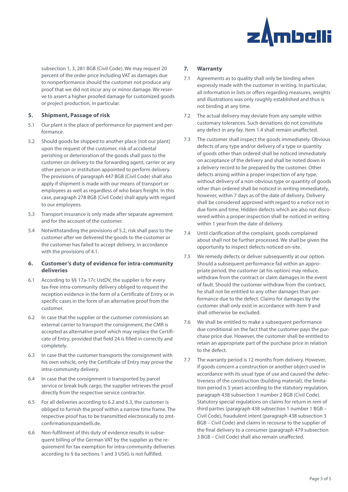

subsection 1, 3, 281 BGB (Civil Code). We may request 20 percent of the order price including VAT as damages due to nonperformance should the customer not produce any proof that we did not incur any or minor damage. We reserve to assert a higher proofed damage for customized goods or project production, in particular.

# **5. Shipment, Passage of risk**

- 5.1 Our plant is the place of performance for payment and performance.
- 5.2 Should goods be shipped to another place (not our plant) upon the request of the customer, risk of accidental perishing or deterioration of the goods shall pass to the customer on delivery to the forwarding agent, carrier or any other person or institution appointed to perform delivery. The provisions of paragraph 447 BGB (Civil Code) shall also apply if shipment is made with our means of transport or employees as well as regardless of who bears freight. In this case, paragraph 278 BGB (Civil Code) shall apply with regard to our employees.
- 5.3 Transport insurance is only made after separate agreement and for the account of the customer.
- 5.4 Notwithstanding the provisions of 5.2, risk shall pass to the customer after we delivered the goods to the customer or the customer has failed to accept delivery, in accordance with the provisions of 4.1.

# **6. Customer's duty of evidence for intra-community deliveries**

- 6.1 According to §§ 17a-17c UstDV, the supplier is for every tax-free intra-community delivery obliged to request the reception evidence in the form of a Certificate of Entry or in specific cases in the form of an alternative proof from the customer.
- 6.2 In case that the supplier or the customer commissions an external carrier to transport the consignment, the CMR is accepted as alternative proof which may replace the Certificate of Entry, provided that field 24 is filled in correctly and completely.
- 6.3 In case that the customer transports the consignment with his own vehicle, only the Certificate of Entry may prove the intra-community delivery.
- 6.4 In case that the consignment is transported by parcel service or break bulk cargo, the supplier retrieves the proof directly from the respective service contractor.
- 6.5 For all deliveries according to 6.2 and 6.3, the customer is obliged to furnish the proof within a narrow time frame. The respective proof has to be transmitted electronically to zmtconfirmation@zambelli.de.
- 6.6 Non-fulfilment of this duty of evidence results in subsequent billing of the German VAT by the supplier as the requirement for tax exemption for intra-community deliveries according to § 6a sections 1 and 3 UStG is not fulfilled.

## **7. Warranty**

- 7.1 Agreements as to quality shall only be binding when expressly made with the customer in writing. In particular, all information in lists or offers regarding measures, weights and illustrations was only roughly established and thus is not binding at any time.
- 7.2 The actual delivery may deviate from any sample within customary tolerances. Such deviations do not constitute any defect in any fay. Item 1.4 shall remain unaffected.
- 7.3 The customer shall inspect the goods immediately. Obvious defects of any type and/or delivery of a type or quantity of goods other than ordered shall be noticed immediately on acceptance of the delivery and shall be noted down in a delivery record to be prepared by the customer. Other defects arising within a proper inspection of any type, without delivery of a non-obvious type or quantity of goods other than ordered shall be noticed in writing immediately, however, within 7 days as of the date of delivery. Delivery shall be considered approved with regard to a notice not in due form and time. Hidden defects which are also not discovered within a proper inspection shall be noticed in writing within 1 year from the date of delivery.
- 7.4 Until clarification of the complaint, goods complained about shall not be further processed. We shall be given the opportunity to inspect defects noticed on-site.
- 7.5 We remedy defects or deliver subsequently at our option. Should a subsequent performance fail within an appropriate period, the customer (at his option) may reduce, withdraw from the contract or claim damages in the event of fault. Should the customer withdraw from the contract, he shall not be entitled to any other damages than performance due to the defect. Claims for damages by the customer shall only exist in accordance with item 9 and shall otherwise be excluded.
- 7.6 We shall be entitled to make a subsequent performance due conditional on the fact that the customer pays the purchase price due. However, the customer shall be entitled to retain an appropriate part of the purchase price in relation to the defect.
- 7.7 The warranty period is 12 months from delivery. However, if goods concern a construction or another object used in accordance with its usual type of use and caused the defectiveness of the construction (building material), the limitation period is 5 years according to the statutory regulation, paragraph 438 subsection 1 number 2 BGB (Civil Code). Statutory special regulations on claims for return in rem of third parties (paragraph 438 subsection 1 number 1 BGB – Civil Code), fraudulent intent (paragraph 438 subsection 3 BGB – Civil Code) and claims in recourse to the supplier of the final delivery to a consumer (paragraph 479 subsection 3 BGB – Civil Code) shall also remain unaffected.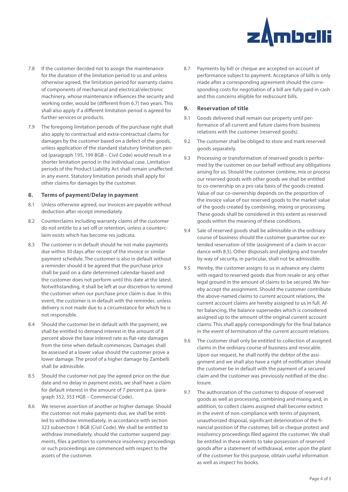

- 7.8 If the customer decided not to assign the maintenance for the duration of the limitation period to us and unless otherwise agreed, the limitation period for warranty claims of components of mechanical and electrical/electronic machinery, whose maintenance influences the security and working order, would be (different from 6.7) two years. This shall also apply if a different limitation period is agreed for further services or products.
- 7.9 The foregoing limitation periods of the purchase right shall also apply to contractual and extra-contractual claims for damages by the customer based on a defect of the goods, unless application of the standard statutory limitation period (paragraph 195, 199 BGB – Civil Code) would result in a shorter limitation period in the individual case. Limitation periods of the Product Liability Act shall remain unaffected in any event. Statutory limitation periods shall apply for other claims for damages by the customer.

#### **8. Terms of payment/Delay in payment**

- 8.1 Unless otherwise agreed, our invoices are payable without deduction after receipt immediately.
- 8.2 Counterclaims including warranty claims of the customer do not entitle to a set-off or retention, unless a counterclaim exists which has become res judicata.
- 8.3 The customer is in default should he not make payments due within 30 days after receipt of the invoice or similar payment schedule. The customer is also in default without a reminder should it be agreed that the purchase price shall be paid on a date determined calendar-based and the customer does not perform until this date at the latest. Notwithstanding, it shall be left at our discretion to remind the customer when our purchase price claim is due. In this event, the customer is in default with the reminder, unless delivery is not made due to a circumstance for which he is not responsible.
- 8.4 Should the customer be in default with the payment, we shall be entitled to demand interest in the amount of 8 percent above the base interest rate as flat-rate damages from the time when default commences. Damages shall be assessed at a lower value should the customer prove a lower damage. The proof of a higher damage by Zambelli shall be admissible.
- 8.5 Should the customer not pay the agreed price on the due date and no delay in payment exists, we shall have a claim for default interest in the amount of 7 percent p.a. (paragraph 352, 353 HGB – Commercial Code).
- 8.6 We reserve assertion of another or higher damage. Should the customer not make payments due, we shall be entitled to withdraw immediately, in accordance with section 323 subsection 1 BGB (Civil Code). We shall be entitled to withdraw immediately, should the customer suspend payments, files a petition to commence insolvency proceedings or such proceedings are commenced with respect to the assets of the customer.

8.7 Payments by bill or cheque are accepted on account of performance subject to payment. Acceptance of bills is only made after a corresponding agreement should the corresponding costs for negotiation of a bill are fully paid in cash and this concerns eligible for rediscount bills.

## **9. Reservation of title**

- 9.1 Goods delivered shall remain our property until performance of all current and future claims from business relations with the customer (reserved goods).
- 9.2 The customer shall be obliged to store and mark reserved goods separately.
- 9.3 Processing or transformation of reserved goods is performed by the customer on our behalf without any obligations arising for us. Should the customer combine, mix or process our reserved goods with other goods we shall be entitled to co-ownership on a pro rata basis of the goods created. Value of our co-ownership depends on the proportion of the invoice value of our reserved goods to the market value of the goods created by combining, mixing or processing. These goods shall be considered in this extent as reserved goods within the meaning of these conditions.
- 9.4 Sale of reserved goods shall be admissible in the ordinary course of business should the customer guarantee our extended reservation of title (assignment of a claim in accordance with 8.5). Other disposals and pledging and transfer by way of security, in particular, shall not be admissible.
- 9.5 Hereby, the customer assigns to us in advance any claims with regard to reserved goods due from resale or any other legal ground in the amount of claims to be secured. We hereby accept the assignment. Should the customer contribute the above-named claims to current account relations, the current account claims are hereby assigned to us in full. After balancing, the balance supersedes which is considered assigned up to the amount of the original current account claims. This shall apply correspondingly for the final balance in the event of termination of the current account relations.
- 9.6 The customer shall only be entitled to collection of assigned claims in the ordinary course of business and revocable. Upon our request, he shall notify the debtor of the assignment and we shall also have a right of notification should the customer be in default with the payment of a secured claim and the customer was previously notified of the disclosure.
- 9.7 The authorization of the customer to dispose of reserved goods as well as processing, combining and mixing and, in addition, to collect claims assigned shall become extinct in the event of non-compliance with terms of payment, unauthorized disposal, significant deterioration of the financial position of the customer, bill or cheque protest and insolvency proceedings filed against the customer. We shall be entitled in these events to take possession of reserved goods after a statement of withdrawal, enter upon the plant of the customer for this purpose, obtain useful information as well as inspect his books.